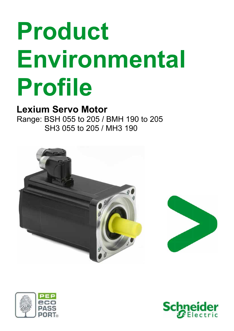# **Product Environmental Profile**

## **Lexium Servo Motor**

Range: BSH 055 to 205 / BMH 190 to 205 SH3 055 to 205 / MH3 190





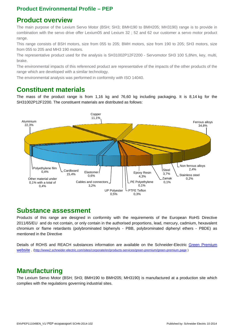#### **Product Environmental Profile – PEP**

#### **Product overview**

The main purpose of the Lexium Servo Motor (BSH; SH3; BMH190 to BMH205; MH3190) range is to provide in combination with the servo drive offer Lexium05 and Lexium 32 ; 52 and 62 our customer a servo motor product range.

This range consists of BSH motors, size from 055 to 205; BMH motors, size from 190 to 205; SH3 motors, size from 055 to 205 and MH3 190 motors.

The representative product used for the analysis is SH31002P12F2200 - Servomotor SH3 100 5,8Nm, key, multi, brake.

The environmental impacts of this referenced product are representative of the impacts of the other products of the range which are developed with a similar technology.

The environmental analysis was performed in conformity with ISO 14040.

#### **Constituent materials**

The mass of the product range is from 1,16 kg and 76,60 kg including packaging. It is 8,14 kg for the SH31002P12F2200. The constituent materials are distributed as follows:



#### **Substance assessment**

Products of this range are designed in conformity with the requirements of the European RoHS Directive 2011/65/EU and do not contain, or only contain in the authorised proportions, lead, mercury, cadmium, hexavalent chromium or flame retardants (polybrominated biphenyls - PBB, polybrominated diphenyl ethers - PBDE) as mentioned in the Directive

Details of ROHS and REACH substances information are available on the Schneider-Electric Green Premium website . (http://www2.schneider-electric.com/sites/corporate/en/products-services/green-premium/green-premium.page )

#### **Manufacturing**

The Lexium Servo Motor (BSH; SH3; BMH190 to BMH205; MH3190) is manufactured at a production site which complies with the regulations governing industrial sites.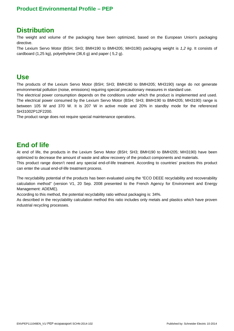#### **Product Environmental Profile – PEP**

#### **Distribution**

The weight and volume of the packaging have been optimized, based on the European Union's packaging directive.

The Lexium Servo Motor (BSH; SH3; BMH190 to BMH205; MH3190) packaging weight is *1,2 kg*. It consists of cardboard (1,25 kg), polyethylene (36,6 g) and paper ( 5,2 g).

#### **Use**

The products of the Lexium Servo Motor (BSH; SH3; BMH190 to BMH205; MH3190) range do not generate environmental pollution (noise, emissions) requiring special precautionary measures in standard use.

The electrical power consumption depends on the conditions under which the product is implemented and used. The electrical power consumed by the Lexium Servo Motor (BSH; SH3; BMH190 to BMH205; MH3190) range is between 105 W and 370 W. It is 207 W in active mode and 20% in standby mode for the referenced SH31002P12F2200.

The product range does not require special maintenance operations.

#### **End of life**

At end of life, the products in the Lexium Servo Motor (BSH; SH3; BMH190 to BMH205; MH3190) have been optimized to decrease the amount of waste and allow recovery of the product components and materials. This product range doesn't need any special end-of-life treatment. According to countries' practices this product

can enter the usual end-of-life treatment process.

The recyclability potential of the products has been evaluated using the "ECO DEEE recyclability and recoverability calculation method" (version V1, 20 Sep. 2008 presented to the French Agency for Environment and Energy Management: ADEME).

According to this method, the potential recyclability ratio without packaging is: 34%.

As described in the recyclability calculation method this ratio includes only metals and plastics which have proven industrial recycling processes.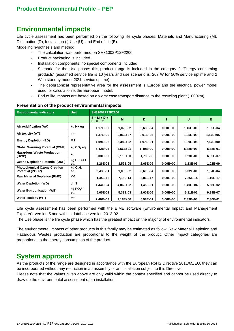#### **Environmental impacts**

Life cycle assessment has been performed on the following life cycle phases: Materials and Manufacturing (M), Distribution (D), Installation (I) Use (U), and End of life (E).

Modeling hypothesis and method:

- The calculation was performed on SH31002P12F2200.
- Product packaging is included.
- Installation components: no special components included.
- Scenario for the Use phase: this product range is included in the category 2 "Energy consuming products" (assumed service life is 10 years and use scenario is: 207 W for 50% service uptime and 2 W in standby mode, 20% service uptime).
- The geographical representative area for the assessment is Europe and the electrical power model used for calculation is the European model.
- End of life impacts are based on a worst case transport distance to the recycling plant (1000km)

| <b>Environmental indicators</b>                                | <b>Unit</b>                            | SH31002P12F2200              |            |            |              |          |          |  |  |  |
|----------------------------------------------------------------|----------------------------------------|------------------------------|------------|------------|--------------|----------|----------|--|--|--|
|                                                                |                                        | $S = M + D +$<br>$1 + U + E$ | M          | D          |              | U        | Е        |  |  |  |
| Air Acidification (AA)                                         | kg H+ eq                               | 1,17E+00                     | 1,02E-02   | 2,63E-04   | $0.00E + 00$ | 1,16E+00 | 1,05E-04 |  |  |  |
| Air toxicity (AT)                                              | m <sup>3</sup>                         | 1,37E+09                     | 2,06E+07   | $3,91E+05$ | $0,00E+00$   | 1,35E+09 | 1,57E+05 |  |  |  |
| <b>Energy Depletion (ED)</b>                                   | ΜJ                                     | 1,09E+05                     | 5,38E+02   | 1,97E+01   | $0.00E + 00$ | 1,09E+05 | 7,57E+00 |  |  |  |
| <b>Global Warming Potential (GWP)</b>                          | $kg CO2$ eq.                           | $5,42E+03$                   | $3,56E+01$ | 1,40E+00   | $0,00E+00$   | 5,38E+03 | 5,38E-01 |  |  |  |
| <b>Hazardous Waste Production</b><br>(HWP)                     | kg                                     | $3,03E+00$                   | 2,11E+00   | 1,73E-06   | $0,00E+00$   | 9,23E-01 | 6,65E-07 |  |  |  |
| <b>Ozone Depletion Potential (ODP)</b>                         | $kg$ CFC-11<br>eq.                     | 1,26E-03                     | 3,59E-05   | 2,65E-09   | $0.00E + 00$ | 1,23E-03 | 1,02E-09 |  |  |  |
| <b>Photochemical Ozone Creation</b><br><b>Potential (POCP)</b> | kgC <sub>2</sub> H <sub>4</sub><br>eq. | 3,43E-01                     | 1,05E-02   | 3,61E-04   | $0.00E + 00$ | 3,32E-01 | 1,34E-04 |  |  |  |
| <b>Raw Material Depletion (RMD)</b>                            | $Y-1$                                  | 1,44E-13                     | 7,15E-14   | 2,86E-17   | $0.00E + 00$ | 7,25E-14 | 1,10E-17 |  |  |  |
| <b>Water Depletion (WD)</b>                                    | dm3                                    | 1,44E+04                     | 4,06E+02   | 1,45E-01   | $0.00E + 00$ | 1,40E+04 | 5,58E-02 |  |  |  |
| <b>Water Eutrophication (WE)</b>                               | $kg PO4^{3-}$<br>eq.                   | 5,65E-02                     | 5,38E-03   | 2,60E-06   | $0.00E + 00$ | 5,11E-02 | 9,99E-07 |  |  |  |
| <b>Water Toxicity (WT)</b>                                     | m <sup>3</sup>                         | 2,40E+03                     | $9,18E+00$ | 5,98E-01   | $0.00E + 00$ | 2,39E+03 | 2,30E-01 |  |  |  |

#### **Presentation of the product environmental impacts**

Life cycle assessment has been performed with the EIME software (Environmental Impact and Management Explorer), version 5 and with its database version 2013-02

The Use phase is the life cycle phase which has the greatest impact on the majority of environmental indicators.

The environmental impacts of other products in this family may be estimated as follow: Raw Material Depletion and Hazardous Wastes production are proportional to the weight of the product. Other impact categories are proportional to the energy consumption of the product.

#### **System approach**

As the products of the range are designed in accordance with the European RoHS Directive 2011/65/EU, they can be incorporated without any restriction in an assembly or an installation subject to this Directive.

Please note that the values given above are only valid within the context specified and cannot be used directly to draw up the environmental assessment of an installation.